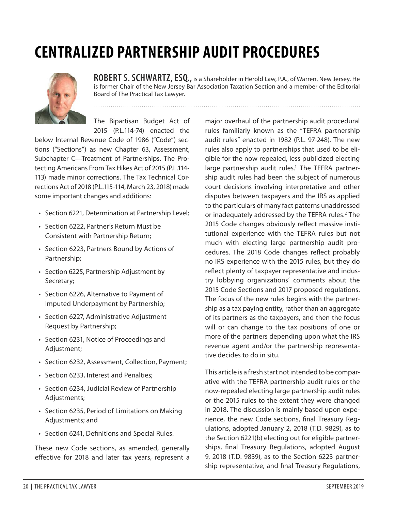# **CENTRALIZED PARTNERSHIP AUDIT PROCEDURES**



**ROBERT S. SCHWARTZ, ESQ.,** is a Shareholder in Herold Law, P.A., of Warren, New Jersey. He is former Chair of the New Jersey Bar Association Taxation Section and a member of the Editorial Board of The Practical Tax Lawyer.

The Bipartisan Budget Act of 2015 (P.L.114-74) enacted the

below Internal Revenue Code of 1986 ("Code") sections ("Sections") as new Chapter 63, Assessment, Subchapter C—Treatment of Partnerships. The Protecting Americans From Tax Hikes Act of 2015 (P.L.114- 113) made minor corrections. The Tax Technical Corrections Act of 2018 (P.L.115-114, March 23, 2018) made some important changes and additions:

- Section 6221, Determination at Partnership Level;
- Section 6222, Partner's Return Must be Consistent with Partnership Return;
- Section 6223, Partners Bound by Actions of Partnership;
- Section 6225, Partnership Adjustment by Secretary;
- Section 6226, Alternative to Payment of Imputed Underpayment by Partnership;
- Section 6227, Administrative Adjustment Request by Partnership;
- Section 6231, Notice of Proceedings and Adjustment;
- Section 6232, Assessment, Collection, Payment;
- Section 6233, Interest and Penalties;
- Section 6234, Judicial Review of Partnership Adjustments;
- Section 6235, Period of Limitations on Making Adjustments; and
- Section 6241, Definitions and Special Rules.

These new Code sections, as amended, generally effective for 2018 and later tax years, represent a

major overhaul of the partnership audit procedural rules familiarly known as the "TEFRA partnership audit rules" enacted in 1982 (P.L. 97-248). The new rules also apply to partnerships that used to be eligible for the now repealed, less publicized electing large partnership audit rules.<sup>1</sup> The TEFRA partnership audit rules had been the subject of numerous court decisions involving interpretative and other disputes between taxpayers and the IRS as applied to the particulars of many fact patterns unaddressed or inadequately addressed by the TEFRA rules.<sup>2</sup> The 2015 Code changes obviously reflect massive institutional experience with the TEFRA rules but not much with electing large partnership audit procedures. The 2018 Code changes reflect probably no IRS experience with the 2015 rules, but they do reflect plenty of taxpayer representative and industry lobbying organizations' comments about the 2015 Code Sections and 2017 proposed regulations. The focus of the new rules begins with the partnership as a tax paying entity, rather than an aggregate of its partners as the taxpayers, and then the focus will or can change to the tax positions of one or more of the partners depending upon what the IRS revenue agent and/or the partnership representative decides to do in situ.

This article is a fresh start not intended to be comparative with the TEFRA partnership audit rules or the now-repealed electing large partnership audit rules or the 2015 rules to the extent they were changed in 2018. The discussion is mainly based upon experience, the new Code sections, final Treasury Regulations, adopted January 2, 2018 (T.D. 9829), as to the Section 6221(b) electing out for eligible partnerships, final Treasury Regulations, adopted August 9, 2018 (T.D. 9839), as to the Section 6223 partnership representative, and final Treasury Regulations,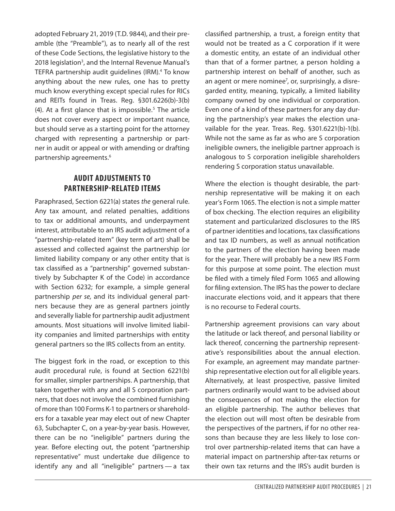adopted February 21, 2019 (T.D. 9844), and their preamble (the "Preamble"), as to nearly all of the rest of these Code Sections, the legislative history to the 2018 legislation<sup>3</sup>, and the Internal Revenue Manual's TEFRA partnership audit guidelines (IRM).<sup>4</sup> To know anything about the new rules, one has to pretty much know everything except special rules for RICs and REITs found in Treas. Reg. §301.6226(b)-3(b)  $(4)$ . At a first glance that is impossible.<sup>5</sup> The article does not cover every aspect or important nuance, but should serve as a starting point for the attorney charged with representing a partnership or partner in audit or appeal or with amending or drafting partnership agreements.<sup>6</sup>

## **AUDIT ADJUSTMENTS TO PARTNERSHIP-RELATED ITEMS**

Paraphrased, Section 6221(a) states *the* general rule. Any tax amount, and related penalties, additions to tax or additional amounts, and underpayment interest, attributable to an IRS audit adjustment of a "partnership-related item" (key term of art) shall be assessed and collected against the partnership (or limited liability company or any other entity that is tax classified as a "partnership" governed substantively by Subchapter K of the Code) in accordance with Section 6232; for example, a simple general partnership *per se,* and its individual general partners because they are as general partners jointly and severally liable for partnership audit adjustment amounts. Most situations will involve limited liability companies and limited partnerships with entity general partners so the IRS collects from an entity.

The biggest fork in the road, or exception to this audit procedural rule, is found at Section 6221(b) for smaller, simpler partnerships. A partnership, that taken together with any and all S corporation partners, that does not involve the combined furnishing of more than 100 Forms K-1 to partners or shareholders for a taxable year may elect out of new Chapter 63, Subchapter C, on a year-by-year basis. However, there can be no "ineligible" partners during the year. Before electing out, the potent "partnership representative" must undertake due diligence to identify any and all "ineligible" partners — a tax classified partnership, a trust, a foreign entity that would not be treated as a C corporation if it were a domestic entity, an estate of an individual other than that of a former partner, a person holding a partnership interest on behalf of another, such as an agent or mere nominee<sup>7</sup>, or, surprisingly, a disregarded entity, meaning, typically, a limited liability company owned by one individual or corporation. Even one of a kind of these partners for any day during the partnership's year makes the election unavailable for the year. Treas. Reg. §301.6221(b)-1(b). While not the same as far as who are S corporation ineligible owners, the ineligible partner approach is analogous to S corporation ineligible shareholders rendering S corporation status unavailable.

Where the election is thought desirable, the partnership representative will be making it on each year's Form 1065. The election is not a simple matter of box checking. The election requires an eligibility statement and particularized disclosures to the IRS of partner identities and locations, tax classifications and tax ID numbers, as well as annual notification to the partners of the election having been made for the year. There will probably be a new IRS Form for this purpose at some point. The election must be filed with a timely filed Form 1065 and allowing for filing extension. The IRS has the power to declare inaccurate elections void, and it appears that there is no recourse to Federal courts.

Partnership agreement provisions can vary about the latitude or lack thereof, and personal liability or lack thereof, concerning the partnership representative's responsibilities about the annual election. For example, an agreement may mandate partnership representative election out for all eligible years. Alternatively, at least prospective, passive limited partners ordinarily would want to be advised about the consequences of not making the election for an eligible partnership. The author believes that the election out will most often be desirable from the perspectives of the partners, if for no other reasons than because they are less likely to lose control over partnership-related items that can have a material impact on partnership after-tax returns or their own tax returns and the IRS's audit burden is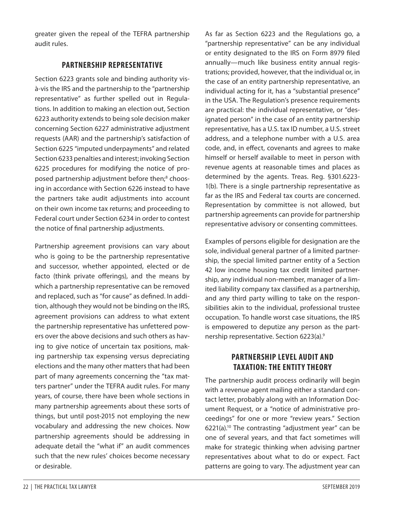greater given the repeal of the TEFRA partnership audit rules.

## **PARTNERSHIP REPRESENTATIVE**

Section 6223 grants sole and binding authority visà-vis the IRS and the partnership to the "partnership representative" as further spelled out in Regulations. In addition to making an election out, Section 6223 authority extends to being sole decision maker concerning Section 6227 administrative adjustment requests (AAR) and the partnership's satisfaction of Section 6225 "imputed underpayments" and related Section 6233 penalties and interest; invoking Section 6225 procedures for modifying the notice of proposed partnership adjustment before then;<sup>8</sup> choosing in accordance with Section 6226 instead to have the partners take audit adjustments into account on their own income tax returns; and proceeding to Federal court under Section 6234 in order to contest the notice of final partnership adjustments.

Partnership agreement provisions can vary about who is going to be the partnership representative and successor, whether appointed, elected or de facto (think private offerings), and the means by which a partnership representative can be removed and replaced, such as "for cause" as defined. In addition, although they would not be binding on the IRS, agreement provisions can address to what extent the partnership representative has unfettered powers over the above decisions and such others as having to give notice of uncertain tax positions, making partnership tax expensing versus depreciating elections and the many other matters that had been part of many agreements concerning the "tax matters partner" under the TEFRA audit rules. For many years, of course, there have been whole sections in many partnership agreements about these sorts of things, but until post-2015 not employing the new vocabulary and addressing the new choices. Now partnership agreements should be addressing in adequate detail the "what if" an audit commences such that the new rules' choices become necessary or desirable.

As far as Section 6223 and the Regulations go, a "partnership representative" can be any individual or entity designated to the IRS on Form 8979 filed annually—much like business entity annual registrations; provided, however, that the individual or, in the case of an entity partnership representative, an individual acting for it, has a "substantial presence" in the USA. The Regulation's presence requirements are practical: the individual representative, or "designated person" in the case of an entity partnership representative, has a U.S. tax ID number, a U.S. street address, and a telephone number with a U.S. area code, and, in effect, covenants and agrees to make himself or herself available to meet in person with revenue agents at reasonable times and places as determined by the agents. Treas. Reg. §301.6223- 1(b). There is a single partnership representative as far as the IRS and Federal tax courts are concerned. Representation by committee is not allowed, but partnership agreements can provide for partnership representative advisory or consenting committees.

Examples of persons eligible for designation are the sole, individual general partner of a limited partnership, the special limited partner entity of a Section 42 low income housing tax credit limited partnership, any individual non-member, manager of a limited liability company tax classified as a partnership, and any third party willing to take on the responsibilities akin to the individual, professional trustee occupation. To handle worst case situations, the IRS is empowered to deputize any person as the partnership representative. Section 6223(a).9

## **PARTNERSHIP LEVEL AUDIT AND TAXATION: THE ENTITY THEORY**

The partnership audit process ordinarily will begin with a revenue agent mailing either a standard contact letter, probably along with an Information Document Request, or a "notice of administrative proceedings" for one or more "review years." Section  $6221(a).$ <sup>10</sup> The contrasting "adjustment year" can be one of several years, and that fact sometimes will make for strategic thinking when advising partner representatives about what to do or expect. Fact patterns are going to vary. The adjustment year can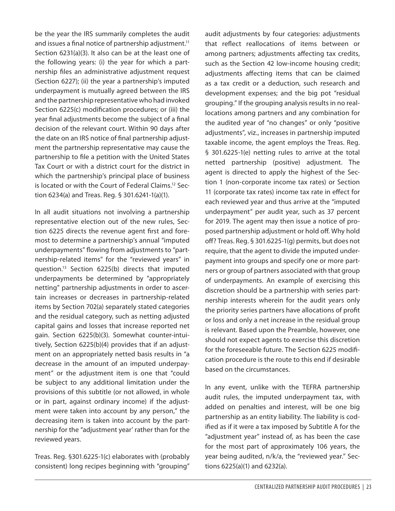be the year the IRS summarily completes the audit and issues a final notice of partnership adjustment.<sup>11</sup> Section 6231(a)(3). It also can be at the least one of the following years: (i) the year for which a partnership files an administrative adjustment request (Section 6227); (ii) the year a partnership's imputed underpayment is mutually agreed between the IRS and the partnership representative who had invoked Section 6225(c) modification procedures; or (iii) the year final adjustments become the subject of a final decision of the relevant court. Within 90 days after the date on an IRS notice of final partnership adjustment the partnership representative may cause the partnership to file a petition with the United States Tax Court or with a district court for the district in which the partnership's principal place of business is located or with the Court of Federal Claims.12 Section 6234(a) and Treas. Reg. § 301.6241-1(a)(1).

In all audit situations not involving a partnership representative election out of the new rules, Section 6225 directs the revenue agent first and foremost to determine a partnership's annual "imputed underpayments" flowing from adjustments to "partnership-related items" for the "reviewed years" in question.13 Section 6225(b) directs that imputed underpayments be determined by "appropriately netting" partnership adjustments in order to ascertain increases or decreases in partnership-related items by Section 702(a) separately stated categories and the residual category, such as netting adjusted capital gains and losses that increase reported net gain. Section 6225(b)(3). Somewhat counter-intuitively, Section 6225(b)(4) provides that if an adjustment on an appropriately netted basis results in "a decrease in the amount of an imputed underpayment" or the adjustment item is one that "could be subject to any additional limitation under the provisions of this subtitle (or not allowed, in whole or in part, against ordinary income) if the adjustment were taken into account by any person," the decreasing item is taken into account by the partnership for the "adjustment year' rather than for the reviewed years.

Treas. Reg. §301.6225-1(c) elaborates with (probably consistent) long recipes beginning with "grouping"

audit adjustments by four categories: adjustments that reflect reallocations of items between or among partners; adjustments affecting tax credits, such as the Section 42 low-income housing credit; adjustments affecting items that can be claimed as a tax credit or a deduction, such research and development expenses; and the big pot "residual grouping." If the grouping analysis results in no reallocations among partners and any combination for the audited year of "no changes" or only "positive adjustments", viz., increases in partnership imputed taxable income, the agent employs the Treas. Reg. § 301.6225-1(e) netting rules to arrive at the total netted partnership (positive) adjustment. The agent is directed to apply the highest of the Section 1 (non-corporate income tax rates) or Section 11 (corporate tax rates) income tax rate in effect for each reviewed year and thus arrive at the "imputed underpayment" per audit year, such as 37 percent for 2019. The agent may then issue a notice of proposed partnership adjustment or hold off. Why hold off? Treas. Reg. § 301.6225-1(g) permits, but does not require, that the agent to divide the imputed underpayment into groups and specify one or more partners or group of partners associated with that group of underpayments. An example of exercising this discretion should be a partnership with series partnership interests wherein for the audit years only the priority series partners have allocations of profit or loss and only a net increase in the residual group is relevant. Based upon the Preamble, however, one should not expect agents to exercise this discretion for the foreseeable future. The Section 6225 modification procedure is the route to this end if desirable based on the circumstances.

In any event, unlike with the TEFRA partnership audit rules, the imputed underpayment tax, with added on penalties and interest, will be one big partnership as an entity liability. The liability is codified as if it were a tax imposed by Subtitle A for the "adjustment year" instead of, as has been the case for the most part of approximately 106 years, the year being audited, n/k/a, the "reviewed year." Sections 6225(a)(1) and 6232(a).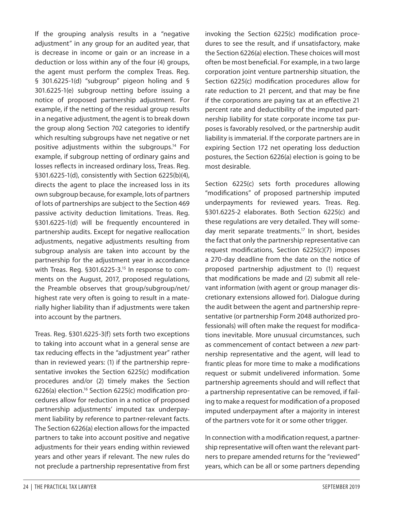If the grouping analysis results in a "negative adjustment" in any group for an audited year, that is decrease in income or gain or an increase in a deduction or loss within any of the four (4) groups, the agent must perform the complex Treas. Reg. § 301.6225-1(d) "subgroup" pigeon holing and § 301.6225-1(e) subgroup netting before issuing a notice of proposed partnership adjustment. For example, if the netting of the residual group results in a negative adjustment, the agent is to break down the group along Section 702 categories to identify which resulting subgroups have net negative or net positive adjustments within the subgroups.14 For example, if subgroup netting of ordinary gains and losses reflects in increased ordinary loss, Treas. Reg. §301.6225-1(d), consistently with Section 6225(b)(4), directs the agent to place the increased loss in its own subgroup because, for example, lots of partners of lots of partnerships are subject to the Section 469 passive activity deduction limitations. Treas. Reg. §301.6225-1(d) will be frequently encountered in partnership audits. Except for negative reallocation adjustments, negative adjustments resulting from subgroup analysis are taken into account by the partnership for the adjustment year in accordance with Treas. Reg. §301.6225-3.<sup>15</sup> In response to comments on the August, 2017, proposed regulations, the Preamble observes that group/subgroup/net/ highest rate very often is going to result in a materially higher liability than if adjustments were taken into account by the partners.

Treas. Reg. §301.6225-3(f) sets forth two exceptions to taking into account what in a general sense are tax reducing effects in the "adjustment year" rather than in reviewed years: (1) if the partnership representative invokes the Section 6225(c) modification procedures and/or (2) timely makes the Section 6226(a) election.16 Section 6225(c) modification procedures allow for reduction in a notice of proposed partnership adjustments' imputed tax underpayment liability by reference to partner-relevant facts. The Section 6226(a) election allows for the impacted partners to take into account positive and negative adjustments for their years ending within reviewed years and other years if relevant. The new rules do not preclude a partnership representative from first invoking the Section 6225(c) modification procedures to see the result, and if unsatisfactory, make the Section 6226(a) election. These choices will most often be most beneficial. For example, in a two large corporation joint venture partnership situation, the Section 6225(c) modification procedures allow for rate reduction to 21 percent, and that may be fine if the corporations are paying tax at an effective 21 percent rate and deductibility of the imputed partnership liability for state corporate income tax purposes is favorably resolved, or the partnership audit liability is immaterial. If the corporate partners are in expiring Section 172 net operating loss deduction postures, the Section 6226(a) election is going to be most desirable.

Section 6225(c) sets forth procedures allowing "modifications" of proposed partnership imputed underpayments for reviewed years. Treas. Reg. §301.6225-2 elaborates. Both Section 6225(c) and these regulations are very detailed. They will someday merit separate treatments.<sup>17</sup> In short, besides the fact that only the partnership representative can request modifications, Section 6225(c)(7) imposes a 270-day deadline from the date on the notice of proposed partnership adjustment to (1) request that modifications be made and (2) submit all relevant information (with agent or group manager discretionary extensions allowed for). Dialogue during the audit between the agent and partnership representative (or partnership Form 2048 authorized professionals) will often make the request for modifications inevitable. More unusual circumstances, such as commencement of contact between a *new* partnership representative and the agent, will lead to frantic pleas for more time to make a modifications request or submit undelivered information. Some partnership agreements should and will reflect that a partnership representative can be removed, if failing to make a request for modification of a proposed imputed underpayment after a majority in interest of the partners vote for it or some other trigger.

In connection with a modification request, a partnership representative will often want the relevant partners to prepare amended returns for the "reviewed" years, which can be all or some partners depending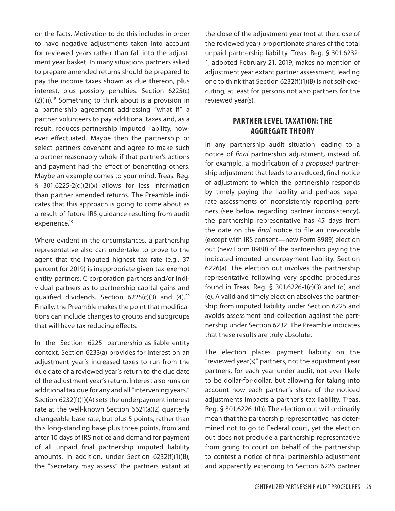on the facts. Motivation to do this includes in order to have negative adjustments taken into account for reviewed years rather than fall into the adjustment year basket. In many situations partners asked to prepare amended returns should be prepared to pay the income taxes shown as due thereon, plus interest, plus possibly penalties. Section 6225(c) (2)(iii).18 Something to think about is a provision in a partnership agreement addressing "what if" a partner volunteers to pay additional taxes and, as a result, reduces partnership imputed liability, however effectuated. Maybe then the partnership or select partners covenant and agree to make such a partner reasonably whole if that partner's actions and payment had the effect of benefitting others. Maybe an example comes to your mind. Treas. Reg. § 301.6225-2(d)(2)(x) allows for less information than partner amended returns. The Preamble indicates that this approach is going to come about as a result of future IRS guidance resulting from audit experience.<sup>19</sup>

Where evident in the circumstances, a partnership representative also can undertake to prove to the agent that the imputed highest tax rate (e.g., 37 percent for 2019) is inappropriate given tax-exempt entity partners, C corporation partners and/or individual partners as to partnership capital gains and qualified dividends. Section  $6225(c)(3)$  and  $(4).^{20}$ Finally, the Preamble makes the point that modifications can include changes to groups and subgroups that will have tax reducing effects.

In the Section 6225 partnership-as-liable-entity context, Section 6233(a) provides for interest on an adjustment year's increased taxes to run from the due date of a reviewed year's return to the due date of the adjustment year's return. Interest also runs on additional tax due for any and all "intervening years." Section 6232(f)(1)(A) sets the underpayment interest rate at the well-known Section 6621(a)(2) quarterly changeable base rate, but plus 5 points, rather than this long-standing base plus three points, from and after 10 days of IRS notice and demand for payment of all unpaid final partnership imputed liability amounts. In addition, under Section 6232(f)(1)(B), the "Secretary may assess" the partners extant at the close of the adjustment year (not at the close of the reviewed year) proportionate shares of the total unpaid partnership liability. Treas. Reg. § 301.6232- 1, adopted February 21, 2019, makes no mention of adjustment year extant partner assessment, leading one to think that Section 6232(f)(1)(B) is not self-executing, at least for persons not also partners for the reviewed year(s).

## **PARTNER LEVEL TAXATION: THE AGGREGATE THEORY**

In any partnership audit situation leading to a notice of *final* partnership adjustment, instead of, for example, a modification of a *proposed* partnership adjustment that leads to a reduced, final notice of adjustment to which the partnership responds by timely paying the liability and perhaps separate assessments of inconsistently reporting partners (see below regarding partner inconsistency), the partnership representative has 45 days from the date on the *final* notice to file an irrevocable (except with IRS consent—new Form 8989) election out (new Form 8988) of the partnership paying the indicated imputed underpayment liability. Section 6226(a). The election out involves the partnership representative following very specific procedures found in Treas. Reg. § 301.6226-1(c)(3) and (d) and (e). A valid and timely election absolves the partnership from imputed liability under Section 6225 and avoids assessment and collection against the partnership under Section 6232. The Preamble indicates that these results are truly absolute.

The election places payment liability on the "reviewed year(s)" partners, not the adjustment year partners, for each year under audit, not ever likely to be dollar-for-dollar, but allowing for taking into account how each partner's share of the noticed adjustments impacts a partner's tax liability. Treas. Reg. § 301.6226-1(b). The election out will ordinarily mean that the partnership representative has determined not to go to Federal court, yet the election out does not preclude a partnership representative from going to court on behalf of the partnership to contest a notice of final partnership adjustment and apparently extending to Section 6226 partner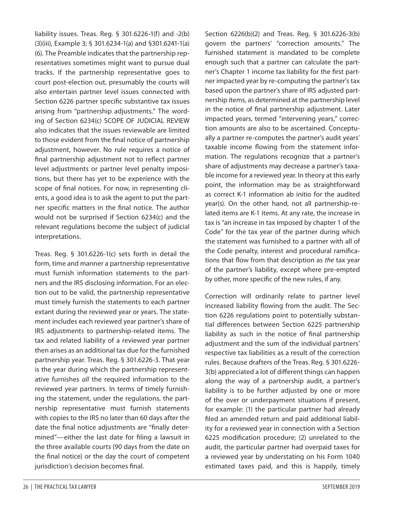liability issues. Treas. Reg. § 301.6226-1(f) and -2(b) (3)(iii), Example 3; § 301.6234-1(a) and §301.6241-1(a) (6). The Preamble indicates that the partnership representatives sometimes might want to pursue dual tracks. If the partnership representative goes to court post-election out, presumably the courts will also entertain partner level issues connected with Section 6226 partner specific substantive tax issues arising from "partnership adjustments." The wording of Section 6234(c) SCOPE OF JUDICIAL REVIEW also indicates that the issues reviewable are limited to those evident from the final notice of partnership adjustment, however. No rule requires a notice of final partnership adjustment not to reflect partner level adjustments or partner level penalty impositions, but there has yet to be experience with the scope of final notices. For now, in representing clients, a good idea is to ask the agent to put the partner specific matters in the final notice. The author would not be surprised if Section 6234(c) and the relevant regulations become the subject of judicial interpretations.

Treas. Reg. § 301.6226-1(c) sets forth in detail the form, time and manner a partnership representative must furnish information statements to the partners and the IRS disclosing information. For an election out to be valid, the partnership representative must timely furnish the statements to each partner extant during the reviewed year or years. The statement includes each reviewed year partner's share of IRS adjustments to partnership-related items. The tax and related liability of a reviewed year partner then arises as an additional tax due for the furnished partnership year. Treas. Reg. § 301.6226-3. That year is the year during which the partnership representative furnishes *all* the required information to the reviewed year partners. In terms of timely furnishing the statement, under the regulations, the partnership representative must furnish statements with copies to the IRS no later than 60 days after the date the final notice adjustments are "finally determined"—either the last date for filing a lawsuit in the three available courts (90 days from the date on the final notice) or the day the court of competent jurisdiction's decision becomes final.

Section 6226(b)(2) and Treas. Reg. § 301.6226-3(b) govern the partners' "correction amounts." The furnished statement is mandated to be complete enough such that a partner can calculate the partner's Chapter 1 income tax liability for the first partner impacted year by re-computing the partner's tax based upon the partner's share of IRS adjusted partnership items, as determined at the partnership level in the notice of final partnership adjustment. Later impacted years, termed "intervening years," correction amounts are also to be ascertained. Conceptually a partner re-computes the partner's audit years' taxable income flowing from the statement information. The regulations recognize that a partner's share of adjustments may decrease a partner's taxable income for a reviewed year. In theory at this early point, the information may be as straightforward as correct K-1 information ab initio for the audited year(s). On the other hand, not all partnership-related items are K-1 items. At any rate, the increase in tax is "an increase in tax imposed by chapter 1 of the Code" for the tax year of the partner during which the statement was furnished to a partner with all of the Code penalty, interest and procedural ramifications that flow from that description as *the* tax year of the partner's liability, except where pre-empted by other, more specific of the new rules, if any.

Correction will ordinarily relate to partner level increased liability flowing from the audit. The Section 6226 regulations point to potentially substantial differences between Section 6225 partnership liability as such in the notice of final partnership adjustment and the sum of the individual partners' respective tax liabilities as a result of the correction rules. Because drafters of the Treas. Reg. § 301.6226- 3(b) appreciated a lot of different things can happen along the way of a partnership audit, a partner's liability is to be further adjusted by one or more of the over or underpayment situations if present, for example: (1) the particular partner had already filed an amended return and paid additional liability for a reviewed year in connection with a Section 6225 modification procedure; (2) unrelated to the audit, the particular partner had overpaid taxes for a reviewed year by understating on his Form 1040 estimated taxes paid, and this is happily, timely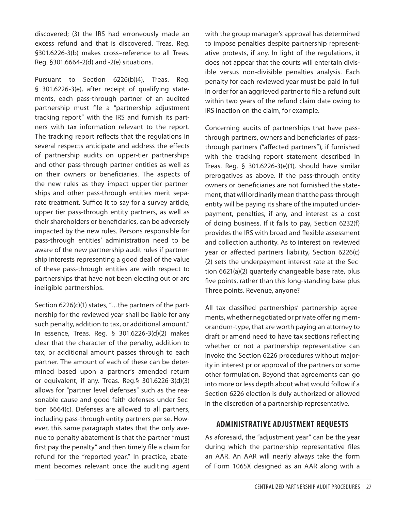discovered; (3) the IRS had erroneously made an excess refund and that is discovered. Treas. Reg. §301.6226-3(b) makes cross-reference to all Treas. Reg. §301.6664-2(d) and -2(e) situations.

Pursuant to Section 6226(b)(4), Treas. Reg. § 301.6226-3(e), after receipt of qualifying statements, each pass-through partner of an audited partnership must file a "partnership adjustment tracking report" with the IRS and furnish its partners with tax information relevant to the report. The tracking report reflects that the regulations in several respects anticipate and address the effects of partnership audits on upper-tier partnerships and other pass-through partner entities as well as on their owners or beneficiaries. The aspects of the new rules as they impact upper-tier partnerships and other pass-through entities merit separate treatment. Suffice it to say for a survey article, upper tier pass-through entity partners, as well as their shareholders or beneficiaries, can be adversely impacted by the new rules. Persons responsible for pass-through entities' administration need to be aware of the new partnership audit rules if partnership interests representing a good deal of the value of these pass-through entities are with respect to partnerships that have not been electing out or are ineligible partnerships.

Section 6226(c)(1) states, "...the partners of the partnership for the reviewed year shall be liable for any such penalty, addition to tax, or additional amount." In essence, Treas. Reg. § 301.6226-3(d)(2) makes clear that the character of the penalty, addition to tax, or additional amount passes through to each partner. The amount of each of these can be determined based upon a partner's amended return or equivalent, if any. Treas. Reg.§ 301.6226-3(d)(3) allows for "partner level defenses" such as the reasonable cause and good faith defenses under Section 6664(c). Defenses are allowed to all partners, including pass-through entity partners per se. However, this same paragraph states that the only avenue to penalty abatement is that the partner "must first pay the penalty" and then timely file a claim for refund for the "reported year." In practice, abatement becomes relevant once the auditing agent with the group manager's approval has determined to impose penalties despite partnership representative protests, if any. In light of the regulations, it does not appear that the courts will entertain divisible versus non-divisible penalties analysis. Each penalty for each reviewed year must be paid in full in order for an aggrieved partner to file a refund suit within two years of the refund claim date owing to IRS inaction on the claim, for example.

Concerning audits of partnerships that have passthrough partners, owners and beneficiaries of passthrough partners ("affected partners"), if furnished with the tracking report statement described in Treas. Reg. § 301.6226-3(e)(1), should have similar prerogatives as above. If the pass-through entity owners or beneficiaries are not furnished the statement, that will ordinarily mean that the pass-through entity will be paying its share of the imputed underpayment, penalties, if any, and interest as a cost of doing business. If it fails to pay, Section 6232(f) provides the IRS with broad and flexible assessment and collection authority. As to interest on reviewed year or affected partners liability, Section 6226(c) (2) sets the underpayment interest rate at the Section 6621(a)(2) quarterly changeable base rate, plus five points, rather than this long-standing base plus Three points. Revenue, anyone?

All tax classified partnerships' partnership agreements, whether negotiated or private offering memorandum-type, that are worth paying an attorney to draft or amend need to have tax sections reflecting whether or not a partnership representative can invoke the Section 6226 procedures without majority in interest prior approval of the partners or some other formulation. Beyond that agreements can go into more or less depth about what would follow if a Section 6226 election is duly authorized or allowed in the discretion of a partnership representative.

### **ADMINISTRATIVE ADJUSTMENT REQUESTS**

As aforesaid, the "adjustment year" can be the year during which the partnership representative files an AAR. An AAR will nearly always take the form of Form 1065X designed as an AAR along with a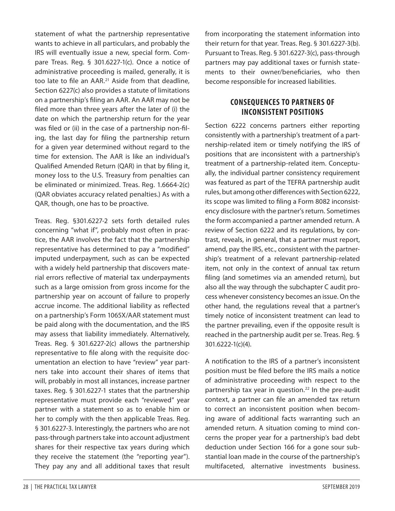statement of what the partnership representative wants to achieve in all particulars, and probably the IRS will eventually issue a new, special form. Compare Treas. Reg. § 301.6227-1(c). Once a notice of administrative proceeding is mailed, generally, it is too late to file an AAR.<sup>21</sup> Aside from that deadline, Section 6227(c) also provides a statute of limitations on a partnership's filing an AAR. An AAR may not be filed more than three years after the later of (i) the date on which the partnership return for the year was filed or (ii) in the case of a partnership non-filing, the last day for filing the partnership return for a given year determined without regard to the time for extension. The AAR is like an individual's Qualified Amended Return (QAR) in that by filing it, money loss to the U.S. Treasury from penalties can be eliminated or minimized. Treas. Reg. 1.6664-2(c) (QAR obviates accuracy related penalties.) As with a QAR, though, one has to be proactive.

Treas. Reg. §301.6227-2 sets forth detailed rules concerning "what if", probably most often in practice, the AAR involves the fact that the partnership representative has determined to pay a "modified" imputed underpayment, such as can be expected with a widely held partnership that discovers material errors reflective of material tax underpayments such as a large omission from gross income for the partnership year on account of failure to properly accrue income. The additional liability as reflected on a partnership's Form 1065X/AAR statement must be paid along with the documentation, and the IRS may assess that liability immediately. Alternatively, Treas. Reg. § 301.6227-2(c) allows the partnership representative to file along with the requisite documentation an election to have "review" year partners take into account their shares of items that will, probably in most all instances, increase partner taxes. Reg. § 301.6227-1 states that the partnership representative must provide each "reviewed" year partner with a statement so as to enable him or her to comply with the then applicable Treas. Reg. § 301.6227-3. Interestingly, the partners who are not pass-through partners take into account adjustment shares for their respective tax years during which they receive the statement (the "reporting year"). They pay any and all additional taxes that result from incorporating the statement information into their return for that year. Treas. Reg. § 301.6227-3(b). Pursuant to Treas. Reg. § 301.6227-3(c), pass-through partners may pay additional taxes or furnish statements to their owner/beneficiaries, who then become responsible for increased liabilities.

## **CONSEQUENCES TO PARTNERS OF INCONSISTENT POSITIONS**

Section 6222 concerns partners either reporting consistently with a partnership's treatment of a partnership-related item or timely notifying the IRS of positions that are inconsistent with a partnership's treatment of a partnership-related item. Conceptually, the individual partner consistency requirement was featured as part of the TEFRA partnership audit rules, but among other differences with Section 6222, its scope was limited to filing a Form 8082 inconsistency disclosure with the partner's return. Sometimes the form accompanied a partner amended return. A review of Section 6222 and its regulations, by contrast, reveals, in general, that a partner must report, amend, pay the IRS, etc., consistent with the partnership's treatment of a relevant partnership-related item, not only in the context of annual tax return filing (and sometimes via an amended return), but also all the way through the subchapter C audit process whenever consistency becomes an issue. On the other hand, the regulations reveal that a partner's timely notice of inconsistent treatment can lead to the partner prevailing, even if the opposite result is reached in the partnership audit per se. Treas. Reg. § 301.6222-1(c)(4).

A notification to the IRS of a partner's inconsistent position must be filed before the IRS mails a notice of administrative proceeding with respect to the partnership tax year in question.<sup>22</sup> In the pre-audit context, a partner can file an amended tax return to correct an inconsistent position when becoming aware of additional facts warranting such an amended return. A situation coming to mind concerns the proper year for a partnership's bad debt deduction under Section 166 for a gone sour substantial loan made in the course of the partnership's multifaceted, alternative investments business.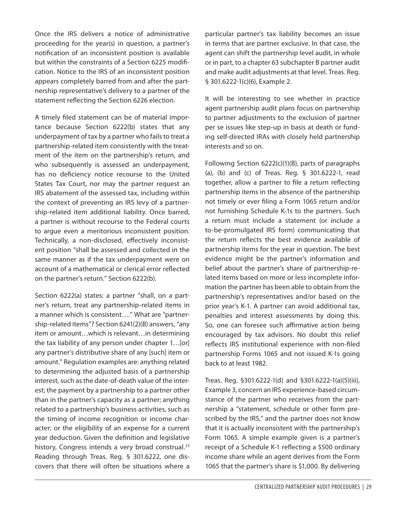Once the IRS delivers a notice of administrative proceeding for the year(s) in question, a partner's notification of an inconsistent position is available but within the constraints of a Section 6225 modification. Notice to the IRS of an inconsistent position appears completely barred from and after the partnership representative's delivery to a partner of the statement reflecting the Section 6226 election.

A timely filed statement can be of material importance because Section 6222(b) states that any underpayment of tax by a partner who fails to treat a partnership-related item consistently with the treatment of the item on the partnership's return, and who subsequently is assessed an underpayment, has no deficiency notice recourse to the United States Tax Court, nor may the partner request an IRS abatement of the assessed tax, including within the context of preventing an IRS levy of a partnership-related item additional liability. Once barred, a partner is without recourse to the Federal courts to argue even a meritorious inconsistent position. Technically, a non-disclosed, effectively inconsistent position "shall be assessed and collected in the same manner as if the tax underpayment were on account of a mathematical or clerical error reflected on the partner's return." Section 6222(b).

Section 6222(a) states: a partner "shall, on a partner's return, treat any partnership-related items in a manner which is consistent…." What are "partnership-related items"? Section 6241(2)(B) answers, "any item or amount…which is relevant…in determining the tax liability of any person under chapter 1…[or] any partner's distributive share of any [such] item or amount." Regulation examples are: anything related to determining the adjusted basis of a partnership interest, such as the date-of-death value of the interest; the payment by a partnership to a partner other than in the partner's capacity as a partner; anything related to a partnership's business activities, such as the timing of income recognition or income character; or the eligibility of an expense for a current year deduction. Given the definition and legislative history, Congress intends a very broad construal.<sup>23</sup> Reading through Treas. Reg. § 301.6222, one discovers that there will often be situations where a

particular partner's tax liability becomes an issue in terms that are partner exclusive. In that case, the agent can shift the partnership level audit, in whole or in part, to a chapter 63 subchapter B partner audit and make audit adjustments at that level. Treas. Reg. § 301.6222-1(c)(6), Example 2.

It will be interesting to see whether in practice agent partnership audit plans focus on partnership to partner adjustments to the exclusion of partner per se issues like step-up in basis at death or funding self-directed IRAs with closely held partnership interests and so on.

Following Section 6222(c)(1)(B), parts of paragraphs (a), (b) and (c) of Treas. Reg. § 301.6222-1, read together, allow a partner to file a return reflecting partnership items in the absence of the partnership not timely or ever filing a Form 1065 return and/or not furnishing Schedule K-1s to the partners. Such a return must include a statement (or include a to-be-promulgated IRS form) communicating that the return reflects the best evidence available of partnership items for the year in question. The best evidence might be the partner's information and belief about the partner's share of partnership-related items based on more or less incomplete information the partner has been able to obtain from the partnership's representatives and/or based on the prior year's K-1. A partner can avoid additional tax, penalties and interest assessments by doing this. So, one can foresee such affirmative action being encouraged by tax advisors. No doubt this relief reflects IRS institutional experience with non-filed partnership Forms 1065 and not issued K-1s going back to at least 1982.

Treas. Reg. §301.6222-1(d) and §301.6222-1(a)(5)(iii), Example 3, concern an IRS experience-based circumstance of the partner who receives from the partnership a "statement, schedule or other form prescribed by the IRS," and the partner does not know that it is actually inconsistent with the partnership's Form 1065. A simple example given is a partner's receipt of a Schedule K-1 reflecting a \$500 ordinary income share while an agent derives from the Form 1065 that the partner's share is \$1,000. By delivering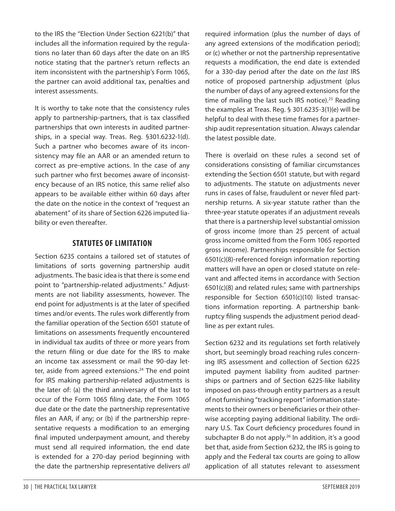to the IRS the "Election Under Section 6221(b)" that includes all the information required by the regulations no later than 60 days after the date on an IRS notice stating that the partner's return reflects an item inconsistent with the partnership's Form 1065, the partner can avoid additional tax, penalties and interest assessments.

It is worthy to take note that the consistency rules apply to partnership-partners, that is tax classified partnerships that own interests in audited partnerships, in a special way. Treas. Reg. §301.6232-1(d). Such a partner who becomes aware of its inconsistency may file an AAR or an amended return to correct as pre-emptive actions. In the case of any such partner who first becomes aware of inconsistency because of an IRS notice, this same relief also appears to be available either within 60 days after the date on the notice in the context of "request an abatement" of its share of Section 6226 imputed liability or even thereafter.

## **STATUTES OF LIMITATION**

Section 6235 contains a tailored set of statutes of limitations of sorts governing partnership audit adjustments. The basic idea is that there is some end point to "partnership-related adjustments." Adjustments are not liability assessments, however. The end point for adjustments is at the later of specified times and/or events. The rules work differently from the familiar operation of the Section 6501 statute of limitations on assessments frequently encountered in individual tax audits of three or more years from the return filing or due date for the IRS to make an income tax assessment or mail the 90-day letter, aside from agreed extensions.<sup>24</sup> The end point for IRS making partnership-related adjustments is the later of: (a) the third anniversary of the last to occur of the Form 1065 filing date, the Form 1065 due date or the date the partnership representative files an AAR, if any; or (b) if the partnership representative requests a modification to an emerging final imputed underpayment amount, and thereby must send all required information, the end date is extended for a 270-day period beginning with the date the partnership representative delivers *all*

required information (plus the number of days of any agreed extensions of the modification period); or (c) whether or not the partnership representative requests a modification, the end date is extended for a 330-day period after the date on *the last* IRS notice of proposed partnership adjustment (plus the number of days of any agreed extensions for the time of mailing the last such IRS notice).<sup>25</sup> Reading the examples at Treas. Reg. § 301.6235-3(1)(e) will be helpful to deal with these time frames for a partnership audit representation situation. Always calendar the latest possible date.

There is overlaid on these rules a second set of considerations consisting of familiar circumstances extending the Section 6501 statute, but with regard to adjustments. The statute on adjustments never runs in cases of false, fraudulent or never filed partnership returns. A six-year statute rather than the three-year statute operates if an adjustment reveals that there is a partnership level substantial omission of gross income (more than 25 percent of actual gross income omitted from the Form 1065 reported gross income). Partnerships responsible for Section 6501(c)(8)-referenced foreign information reporting matters will have an open or closed statute on relevant and affected items in accordance with Section 6501(c)(8) and related rules; same with partnerships responsible for Section 6501(c)(10) listed transactions information reporting. A partnership bankruptcy filing suspends the adjustment period deadline as per extant rules.

Section 6232 and its regulations set forth relatively short, but seemingly broad reaching rules concerning IRS assessment and collection of Section 6225 imputed payment liability from audited partnerships or partners and of Section 6225-like liability imposed on pass-through entity partners as a result of not furnishing "tracking report" information statements to their owners or beneficiaries or their otherwise accepting paying additional liability. The ordinary U.S. Tax Court deficiency procedures found in subchapter B do not apply.<sup>26</sup> In addition, it's a good bet that, aside from Section 6232, the IRS is going to apply and the Federal tax courts are going to allow application of all statutes relevant to assessment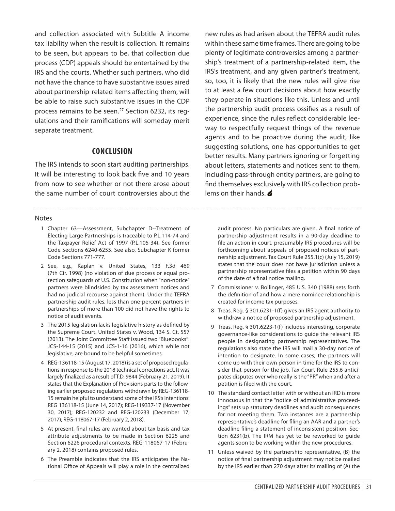and collection associated with Subtitle A income tax liability when the result is collection. It remains to be seen, but appears to be, that collection due process (CDP) appeals should be entertained by the IRS and the courts. Whether such partners, who did not have the chance to have substantive issues aired about partnership-related items affecting them, will be able to raise such substantive issues in the CDP process remains to be seen.<sup>27</sup> Section 6232, its requlations and their ramifications will someday merit separate treatment.

#### **CONCLUSION**

The IRS intends to soon start auditing partnerships. It will be interesting to look back five and 10 years from now to see whether or not there arose about the same number of court controversies about the

#### **Notes**

- 1 Chapter 63—Assessment, Subchapter D--Treatment of Electing Large Partnerships is traceable to P.L.114-74 and the Taxpayer Relief Act of 1997 (P.L.105-34). See former Code Sections 6240-6255. See also, Subchapter K former Code Sections 771-777.
- 2 See, e.g., Kaplan v. United States, 133 F.3d 469 (7th Cir. 1998) (no violation of due process or equal protection safeguards of U.S. Constitution when "non-notice" partners were blindsided by tax assessment notices and had no judicial recourse against them). Under the TEFRA partnership audit rules, less than one-percent partners in partnerships of more than 100 did not have the rights to notice of audit events.
- 3 The 2015 legislation lacks legislative history as defined by the Supreme Court. United States v. Wood, 134 S. Ct. 557 (2013). The Joint Committee Staff issued two "Bluebooks": JCS-144-15 (2015) and JCS-1-16 (2016), which while not legislative, are bound to be helpful sometimes.
- 4 REG-136118-15 (August 17, 2018) is a set of proposed regulations in response to the 2018 technical corrections act. It was largely finalized as a result of T.D. 9844 (February 21, 2019). It states that the Explanation of Provisions parts to the following earlier proposed regulations withdrawn by REG-136118- 15 remain helpful to understand some of the IRS's intentions: REG 136118-15 (June 14, 2017); REG-119337-17 (November 30, 2017); REG-120232 and REG-120233 (December 17, 2017); REG-118067-17 (February 2, 2018).
- 5 At present, final rules are wanted about tax basis and tax attribute adjustments to be made in Section 6225 and Section 6226 procedural contexts. REG-118067-17 (February 2, 2018) contains proposed rules.
- 6 The Preamble indicates that the IRS anticipates the National Office of Appeals will play a role in the centralized

new rules as had arisen about the TEFRA audit rules within these same time frames. There are going to be plenty of legitimate controversies among a partnership's treatment of a partnership-related item, the IRS's treatment, and any given partner's treatment, so, too, it is likely that the new rules will give rise to at least a few court decisions about how exactly they operate in situations like this. Unless and until the partnership audit process ossifies as a result of experience, since the rules reflect considerable leeway to respectfully request things of the revenue agents and to be proactive during the audit, like suggesting solutions, one has opportunities to get better results. Many partners ignoring or forgetting about letters, statements and notices sent to them, including pass-through entity partners, are going to find themselves exclusively with IRS collection problems on their hands.

audit process. No particulars are given. A final notice of partnership adjustment results in a 90-day deadline to file an action in court, presumably IRS procedures will be forthcoming about appeals of proposed notices of partnership adjustment. Tax Court Rule 255.1(c) (July 15, 2019) states that the court does not have jurisdiction unless a partnership representative files a petition within 90 days of the date of a final notice mailing.

- 7 Commissioner v. Bollinger, 485 U.S. 340 (1988) sets forth the definition of and how a mere nominee relationship is created for income tax purposes.
- 8 Treas. Reg. § 301.6231-1(f) gives an IRS agent authority to withdraw a notice of proposed partnership adjustment.
- 9 Treas. Reg. § 301.6223-1(f) includes interesting, corporate governance-like considerations to guide the relevant IRS people in designating partnership representatives. The regulations also state the IRS will mail a 30-day notice of intention to designate. In some cases, the partners will come up with their own person in time for the IRS to consider that person for the job. Tax Court Rule 255.6 anticipates disputes over who really is the "PR" when and after a petition is filed with the court.
- 10 The standard contact letter with or without an IRD is more innocuous in that the "notice of administrative proceedings" sets up statutory deadlines and audit consequences for not meeting them. Two instances are a partnership representative's deadline for filing an AAR and a partner's deadline filing a statement of inconsistent position. Section 6231(b). The IRM has yet to be reworked to guide agents soon to be working within the new procedures.
- 11 Unless waived by the partnership representative, (B) the notice of final partnership adjustment may not be mailed by the IRS earlier than 270 days after its mailing of (A) the